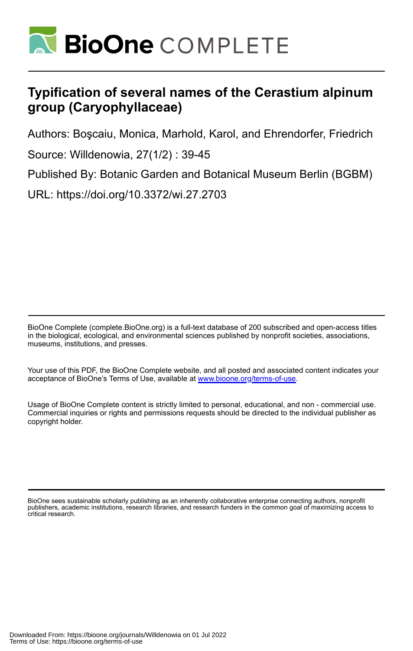

# **Typification of several names of the Cerastium alpinum group (Caryophyllaceae)**

Authors: Boşcaiu, Monica, Marhold, Karol, and Ehrendorfer, Friedrich

Source: Willdenowia, 27(1/2) : 39-45

Published By: Botanic Garden and Botanical Museum Berlin (BGBM)

URL: https://doi.org/10.3372/wi.27.2703

BioOne Complete (complete.BioOne.org) is a full-text database of 200 subscribed and open-access titles in the biological, ecological, and environmental sciences published by nonprofit societies, associations, museums, institutions, and presses.

Your use of this PDF, the BioOne Complete website, and all posted and associated content indicates your acceptance of BioOne's Terms of Use, available at www.bioone.org/terms-of-use.

Usage of BioOne Complete content is strictly limited to personal, educational, and non - commercial use. Commercial inquiries or rights and permissions requests should be directed to the individual publisher as copyright holder.

BioOne sees sustainable scholarly publishing as an inherently collaborative enterprise connecting authors, nonprofit publishers, academic institutions, research libraries, and research funders in the common goal of maximizing access to critical research.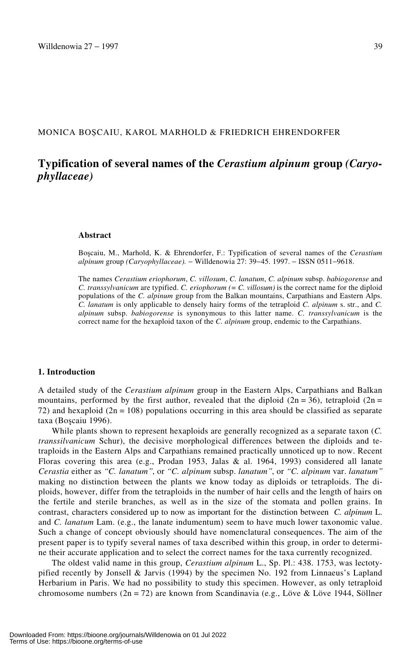# MONICA BOȘCAIU, KAROL MARHOLD & FRIEDRICH EHRENDORFER

# **Typification of several names of the** *Cerastium alpinum* **group** *(Caryophyllaceae)*

#### **Abstract**

Boscaiu, M., Marhold, K. & Ehrendorfer, F.: Typification of several names of the *Cerastium alpinum* group *(Caryophyllaceae).* − Willdenowia 27: 39−45. 1997. − ISSN 0511−9618.

The names *Cerastium eriophorum*, *C. villosum*, *C. lanatum*, *C. alpinum* subsp. *babiogorense* and *C. transsylvanicum* are typified. *C. eriophorum (= C. villosum)* is the correct name for the diploid populations of the *C. alpinum* group from the Balkan mountains, Carpathians and Eastern Alps. *C. lanatum* is only applicable to densely hairy forms of the tetraploid *C. alpinum* s. str., and *C. alpinum* subsp. *babiogorense* is synonymous to this latter name. *C. transsylvanicum* is the correct name for the hexaploid taxon of the *C. alpinum* group, endemic to the Carpathians.

#### **1. Introduction**

A detailed study of the *Cerastium alpinum* group in the Eastern Alps, Carpathians and Balkan mountains, performed by the first author, revealed that the diploid ( $2n = 36$ ), tetraploid ( $2n =$ 72) and hexaploid ( $2n = 108$ ) populations occurring in this area should be classified as separate taxa (Boscaiu 1996).

While plants shown to represent hexaploids are generally recognized as a separate taxon (*C. transsilvanicum* Schur), the decisive morphological differences between the diploids and tetraploids in the Eastern Alps and Carpathians remained practically unnoticed up to now. Recent Floras covering this area (e.g., Prodan 1953, Jalas & al. 1964, 1993) considered all lanate *Cerastia* either as *†C. lanatum‡*, or *†C. alpinum* subsp. *lanatum‡*, or *†C. alpinum* var. *lanatum‡* making no distinction between the plants we know today as diploids or tetraploids. The diploids, however, differ from the tetraploids in the number of hair cells and the length of hairs on the fertile and sterile branches, as well as in the size of the stomata and pollen grains. In contrast, characters considered up to now as important for the distinction between *C. alpinum* L. and *C. lanatum* Lam. (e.g., the lanate indumentum) seem to have much lower taxonomic value. Such a change of concept obviously should have nomenclatural consequences. The aim of the present paper is to typify several names of taxa described within this group, in order to determine their accurate application and to select the correct names for the taxa currently recognized.

The oldest valid name in this group, *Cerastium alpinum* L., Sp. Pl.: 438. 1753, was lectotypified recently by Jonsell & Jarvis (1994) by the specimen No. 192 from Linnaeus's Lapland Herbarium in Paris. We had no possibility to study this specimen. However, as only tetraploid chromosome numbers  $(2n = 72)$  are known from Scandinavia (e.g., Löve & Löve 1944, Söllner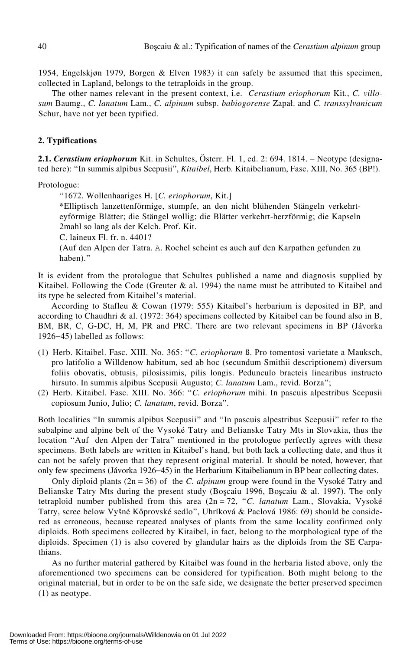1954, Engelskjøn 1979, Borgen & Elven 1983) it can safely be assumed that this specimen, collected in Lapland, belongs to the tetraploids in the group.

The other names relevant in the present context, i.e. *Cerastium eriophorum* Kit., *C. villo* $sum$  Baumg., *C. lanatum* Lam., *C. alpinum* subsp. *babiogorense* Zapał. and *C. transsylvanicum* Schur, have not yet been typified.

# **2. Typifications**

**2.1.** *Cerastium eriophorum* Kit. in Schultes, Österr. Fl. 1, ed. 2: 694. 1814. − Neotype (designated here): "In summis alpibus Scepusii", *Kitaibel*, Herb. Kitaibelianum, Fasc. XIII, No. 365 (BP!).

Protologue:

†1672. Wollenhaariges H. [*C. eriophorum*, Kit.]

\*Elliptisch lanzettenförmige, stumpfe, an den nicht blühenden Stängeln verkehrteyförmige Blätter; die Stängel wollig; die Blätter verkehrt-herzförmig; die Kapseln 2mahl so lang als der Kelch. Prof. Kit.

C. laineux Fl. fr. n. 4401?

(Auf den Alpen der Tatra. A. Rochel scheint es auch auf den Karpathen gefunden zu haben)."

It is evident from the protologue that Schultes published a name and diagnosis supplied by Kitaibel. Following the Code (Greuter  $\&$  al. 1994) the name must be attributed to Kitaibel and its type be selected from Kitaibel's material.

According to Stafleu & Cowan (1979: 555) Kitaibel's herbarium is deposited in BP, and according to Chaudhri & al. (1972: 364) specimens collected by Kitaibel can be found also in B, BM, BR, C, G-DC, H, M, PR and PRC. There are two relevant specimens in BP (Jávorka 1926−45) labelled as follows:

- (1) Herb. Kitaibel. Fasc. XIII. No. 365: †*C. eriophorum* ß. Pro tomentosi varietate a Mauksch, pro latifolio a Willdenow habitum, sed ab hoc (secundum Smithii descriptionem) diversum foliis obovatis, obtusis, pilosissimis, pilis longis. Pedunculo bracteis linearibus instructo hirsuto. In summis alpibus Scepusii Augusto; *C. lanatum* Lam., revid. Borza";
- (2) Herb. Kitaibel. Fasc. XIII. No. 366: †*C. eriophorum* mihi. In pascuis alpestribus Scepusii copiosum Junio, Julio; C. lanatum, revid. Borza".

Both localities "In summis alpibus Scepusii" and "In pascuis alpestribus Scepusii" refer to the subalpine and alpine belt of the Vysoké Tatry and Belianske Tatry Mts in Slovakia, thus the location "Auf den Alpen der Tatra" mentioned in the protologue perfectly agrees with these specimens. Both labels are written in Kitaibel's hand, but both lack a collecting date, and thus it can not be safely proven that they represent original material. It should be noted, however, that only few specimens (Jávorka 1926−45) in the Herbarium Kitaibelianum in BP bear collecting dates.

Only diploid plants (2n = 36) of the *C. alpinum* group were found in the Vysoké Tatry and Belianske Tatry Mts during the present study (Boscaiu 1996, Boscaiu & al. 1997). The only tetraploid number published from this area (2n = 72, †*C. lanatum* Lam., Slovakia, Vysoké Tatry, scree below Vyšné Kôprovské sedlo", Uhríková & Paclová 1986: 69) should be considered as erroneous, because repeated analyses of plants from the same locality confirmed only diploids. Both specimens collected by Kitaibel, in fact, belong to the morphological type of the diploids. Specimen (1) is also covered by glandular hairs as the diploids from the SE Carpathians.

As no further material gathered by Kitaibel was found in the herbaria listed above, only the aforementioned two specimens can be considered for typification. Both might belong to the original material, but in order to be on the safe side, we designate the better preserved specimen (1) as neotype.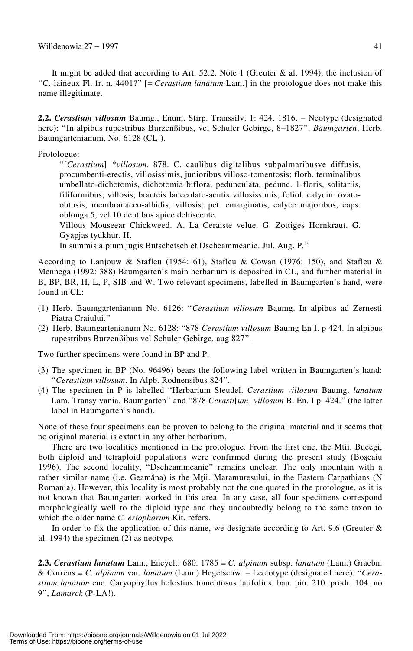It might be added that according to Art. 52.2. Note 1 (Greuter & al. 1994), the inclusion of †C. laineux Fl. fr. n. 4401?‡ [= *Cerastium lanatum* Lam.] in the protologue does not make this name illegitimate.

**2.2.** *Cerastium villosum* Baumg., Enum. Stirp. Transsilv. 1: 424. 1816. − Neotype (designated here): †In alpibus rupestribus Burzenßibus, vel Schuler Gebirge, 8−1827‡, *Baumgarten*, Herb. Baumgartenianum, No. 6128 (CL!).

Protologue:

†[*Cerastium*] \**villosum.* 878. C. caulibus digitalibus subpalmaribusve diffusis, procumbenti-erectis, villosissimis, junioribus villoso-tomentosis; florb. terminalibus umbellato-dichotomis, dichotomia biflora, pedunculata, pedunc. 1-floris, solitariis, filiformibus, villosis, bracteis lanceolato-acutis villosissimis, foliol. calycin. ovatoobtusis, membranaceo-albidis, villosis; pet. emarginatis, calyce majoribus, caps. oblonga 5, vel 10 dentibus apice dehiscente.

Villous Mouseear Chickweed. A. La Ceraiste velue. G. Zottiges Hornkraut. G. Gyapjas tyúkhúr. H.

In summis alpium jugis Butschetsch et Dscheammeanie. Jul. Aug. P."

According to Lanjouw & Stafleu (1954: 61), Stafleu & Cowan (1976: 150), and Stafleu & Mennega (1992: 388) Baumgarten's main herbarium is deposited in CL, and further material in B, BP, BR, H, L, P, SIB and W. Two relevant specimens, labelled in Baumgarten's hand, were found in CL:

- (1) Herb. Baumgartenianum No. 6126: †*Cerastium villosum* Baumg. In alpibus ad Zernesti Piatra Craiului."
- (2) Herb. Baumgartenianum No. 6128: †878 *Cerastium villosum* Baumg En I. p 424. In alpibus rupestribus Burzenßibus vel Schuler Gebirge. aug 827‡.

Two further specimens were found in BP and P.

- (3) The specimen in BP (No. 96496) bears the following label written in Baumgarten's hand: †*Cerastium villosum*. In Alpb. Rodnensibus 824‡.
- (4) The specimen in P is labelled †Herbarium Steudel. *Cerastium villosum* Baumg. *lanatum* Lam. Transylvania. Baumgarten" and "878 *Cerasti*[*um*] *villosum* B. En. I p. 424." (the latter label in Baumgarten's hand).

None of these four specimens can be proven to belong to the original material and it seems that no original material is extant in any other herbarium.

There are two localities mentioned in the protologue. From the first one, the Mtii. Bucegi, both diploid and tetraploid populations were confirmed during the present study (Boscaiu 1996). The second locality, "Dscheammeanie" remains unclear. The only mountain with a rather similar name (i.e. Geamăna) is the Mții. Maramuresului, in the Eastern Carpathians (N Romania). However, this locality is most probably not the one quoted in the protologue, as it is not known that Baumgarten worked in this area. In any case, all four specimens correspond morphologically well to the diploid type and they undoubtedly belong to the same taxon to which the older name *C. eriophorum* Kit. refers.

In order to fix the application of this name, we designate according to Art. 9.6 (Greuter  $\&$ al. 1994) the specimen (2) as neotype.

**2.3.** *Cerastium lanatum* Lam., Encycl.: 680. 1785 ≡ *C. alpinum* subsp. *lanatum* (Lam.) Graebn. & Correns ≡ *C. alpinum* var*. lanatum* (Lam.) Hegetschw. − Lectotype (designated here): †*Cerastium lanatum* enc. Caryophyllus holostius tomentosus latifolius. bau. pin. 210. prodr. 104. no 9‡, *Lamarck* (P-LA!).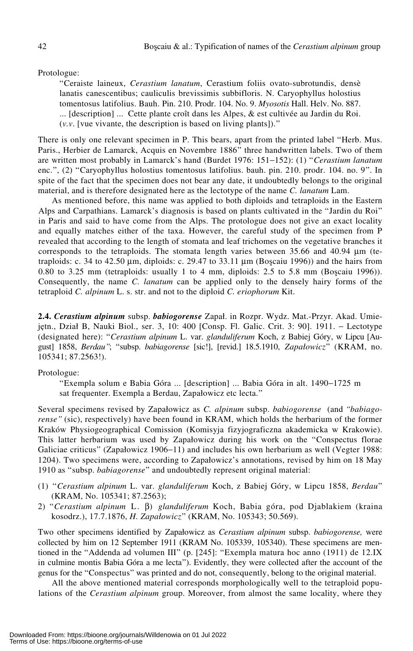#### Protologue:

†Ceraiste laineux, *Cerastium lanatum*, Cerastium foliis ovato-subrotundis, densè lanatis canescentibus; cauliculis brevissimis subbifloris. N. Caryophyllus holostius tomentosus latifolius. Bauh. Pin. 210. Prodr. 104. No. 9. *Myosotis* Hall. Helv. No. 887. ... [description] ... Cette plante croît dans les Alpes, & est cultivée au Jardin du Roi.  $(v, v)$ . [vue vivante, the description is based on living plants]).<sup>37</sup>

There is only one relevant specimen in P. This bears, apart from the printed label "Herb. Mus. Paris., Herbier de Lamarck, Acquis en Novembre 1886" three handwritten labels. Two of them are written most probably in Lamarck's hand (Burdet 1976: 151−152): (1) †*Cerastium lanatum* enc.", (2) "Caryophyllus holostius tomentosus latifolius. bauh. pin. 210. prodr. 104. no. 9". In spite of the fact that the specimen does not bear any date, it undoubtedly belongs to the original material, and is therefore designated here as the lectotype of the name *C. lanatum* Lam.

As mentioned before, this name was applied to both diploids and tetraploids in the Eastern Alps and Carpathians. Lamarck's diagnosis is based on plants cultivated in the "Jardin du Roi" in Paris and said to have come from the Alps. The protologue does not give an exact locality and equally matches either of the taxa. However, the careful study of the specimen from P revealed that according to the length of stomata and leaf trichomes on the vegetative branches it corresponds to the tetraploids. The stomata length varies between 35.66 and 40.94 μm (tetraploids: c. 34 to 42.50  $\mu$ m, diploids: c. 29.47 to 33.11  $\mu$ m (Boscaiu 1996)) and the hairs from 0.80 to 3.25 mm (tetraploids: usually 1 to 4 mm, diploids:  $2.5$  to 5.8 mm (Boscaiu 1996)). Consequently, the name *C. lanatum* can be applied only to the densely hairy forms of the tetraploid *C. alpinum* L. s. str. and not to the diploid *C. eriophorum* Kit.

2.4. *Cerastium alpinum* subsp. *babiogorense* Zapał. in Rozpr. Wydz. Mat.-Przyr. Akad. Umiejetn., Dział B, Nauki Biol., ser. 3, 10: 400 [Consp. Fl. Galic. Crit. 3: 90]. 1911. – Lectotype (designated here): †*Cerastium alpinum* L. var. *glanduliferum* Koch, z Babiej Góry, w Lipcu [August] 1858, *Berdau*<sup>2</sup>; "subsp. *babiagorense* [sic!], [revid.] 18.5.1910, *Zapałowicz*" (KRAM, no. 105341; 87.2563!).

#### Protologue:

†Exempla solum e Babia Góra ... [description] ... Babia Góra in alt. 1490−1725 m sat frequenter. Exempla a Berdau, Zapałowicz etc lecta."

Several specimens revised by Zapałowicz as *C. alpinum* subsp. *babiogorense* (and *†babiagorense‡* (sic), respectively) have been found in KRAM, which holds the herbarium of the former Kraków Physiogeographical Comission (Komisyja fizyjograficzna akademicka w Krakowie). This latter herbarium was used by Zapałowicz during his work on the "Conspectus florae Galiciae criticus" (Zapałowicz 1906−11) and includes his own herbarium as well (Vegter 1988: 1204). Two specimens were, according to Zapałowicz's annotations, revised by him on 18 May 1910 as "subsp. *babiagorense*" and undoubtedly represent original material:

- (1) †*Cerastium alpinum* L. var. *glanduliferum* Koch, z Babiej Góry, w Lipcu 1858, *Berdau*‡ (KRAM, No. 105341; 87.2563);
- 2) †*Cerastium alpinum* L. β) *glanduliferum* Koch, Babia góra, pod Djablakiem (kraina kosodrz.), 17.7.1876, *H. Zapa5owicz*‡ (KRAM, No. 105343; 50.569).

Two other specimens identified by Zapałowicz as *Cerastium alpinum* subsp. *babiogorense*, were collected by him on 12 September 1911 (KRAM No. 105339, 105340). These specimens are mentioned in the "Addenda ad volumen III" (p. [245]: "Exempla matura hoc anno (1911) de 12.IX in culmine montis Babia Góra a me lecta"). Evidently, they were collected after the account of the genus for the "Conspectus" was printed and do not, consequently, belong to the original material.

All the above mentioned material corresponds morphologically well to the tetraploid populations of the *Cerastium alpinum* group. Moreover, from almost the same locality, where they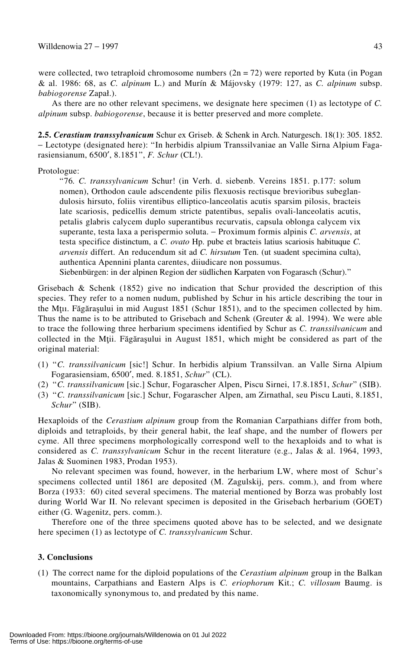were collected, two tetraploid chromosome numbers  $(2n = 72)$  were reported by Kuta (in Pogan & al. 1986: 68, as *C. alpinum* L.) and Murín & Májovsky (1979: 127, as *C. alpinum* subsp. *babiogorense* Zapał.).

As there are no other relevant specimens, we designate here specimen (1) as lectotype of *C. alpinum* subsp. *babiogorense*, because it is better preserved and more complete.

**2.5.** *Cerastium transsylvanicum* Schur ex Griseb. & Schenk in Arch. Naturgesch. 18(1): 305. 1852. − Lectotype (designated here): †In herbidis alpium Transsilvaniae an Valle Sirna Alpium Fagarasiensianum, 6500′, 8.1851‡, *F. Schur* (CL!).

# Protologue:

†76*. C. transsylvanicum* Schur! (in Verh. d. siebenb. Vereins 1851. p.177: solum nomen), Orthodon caule adscendente pilis flexuosis rectisque brevioribus subeglandulosis hirsuto, foliis virentibus elliptico-lanceolatis acutis sparsim pilosis, bracteis late scariosis, pedicellis demum stricte patentibus, sepalis ovali-lanceolatis acutis, petalis glabris calycem duplo superantibus recurvatis, capsula oblonga calycem vix superante, testa laxa a perispermio soluta. − Proximum formis alpinis *C. arvensis*, at testa specifice distinctum, a *C. ovato* Hp. pube et bracteis latius scariosis habituque *C. arvensis* differt. An reducendum sit ad *C. hirsutum* Ten. (ut suadent specimina culta), authentica Apennini planta carentes, diiudicare non possumus.

Siebenbürgen: in der alpinen Region der südlichen Karpaten von Fogarasch (Schur)."

Grisebach  $\&$  Schenk (1852) give no indication that Schur provided the description of this species. They refer to a nomen nudum, published by Schur in his article describing the tour in the Mtu. Făgărașului in mid August 1851 (Schur 1851), and to the specimen collected by him. Thus the name is to be attributed to Grisebach and Schenk (Greuter  $\&$  al. 1994). We were able to trace the following three herbarium specimens identified by Schur as *C. transsilvanicum* and collected in the Mții. Făgărașului in August 1851, which might be considered as part of the original material:

- (1) †*C. transsilvanicum* [sic!] Schur. In herbidis alpium Transsilvan. an Valle Sirna Alpium Fogarasiensiam, 6500', med. 8.1851, *Schur*" (CL).
- (2) <sup>\*</sup>C. transsilvanicum [sic.] Schur, Fogarascher Alpen, Piscu Sirnei, 17.8.1851, *Schur*<sup>\*</sup> (SIB).
- (3) †*C. transsilvanicum* [sic.] Schur, Fogarascher Alpen, am Zirnathal, seu Piscu Lauti, 8.1851, *Schur*‡ (SIB).

Hexaploids of the *Cerastium alpinum* group from the Romanian Carpathians differ from both, diploids and tetraploids, by their general habit, the leaf shape, and the number of flowers per cyme. All three specimens morphologically correspond well to the hexaploids and to what is considered as *C. transsylvanicum* Schur in the recent literature (e.g., Jalas & al. 1964, 1993, Jalas & Suominen 1983, Prodan 1953).

No relevant specimen was found, however, in the herbarium LW, where most of Schur's specimens collected until 1861 are deposited (M. Zagulskij, pers. comm.), and from where Borza (1933: 60) cited several specimens. The material mentioned by Borza was probably lost during World War II. No relevant specimen is deposited in the Grisebach herbarium (GOET) either (G. Wagenitz, pers. comm.).

Therefore one of the three specimens quoted above has to be selected, and we designate here specimen (1) as lectotype of *C. transsylvanicum* Schur.

# **3. Conclusions**

(1) The correct name for the diploid populations of the *Cerastium alpinum* group in the Balkan mountains, Carpathians and Eastern Alps is *C. eriophorum* Kit.; *C. villosum* Baumg. is taxonomically synonymous to, and predated by this name.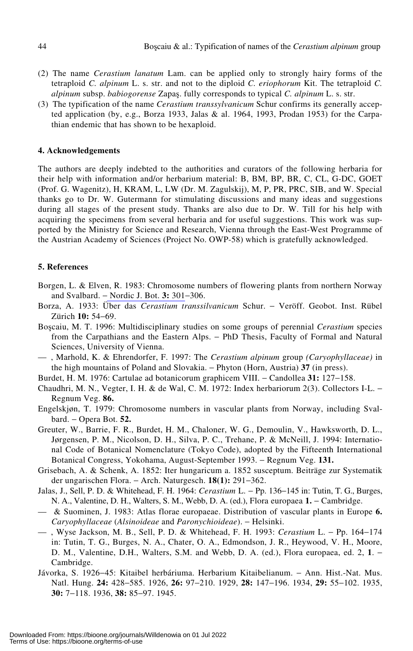- (2) The name *Cerastium lanatum* Lam. can be applied only to strongly hairy forms of the tetraploid *C. alpinum* L. s. str. and not to the diploid *C. eriophorum* Kit. The tetraploid *C. alpinum* subsp. *babiogorense* Zapas. fully corresponds to typical *C. alpinum* L. s. str.
- (3) The typification of the name *Cerastium transsylvanicum* Schur confirms its generally accepted application (by, e.g., Borza 1933, Jalas & al. 1964, 1993, Prodan 1953) for the Carpathian endemic that has shown to be hexaploid.

# **4. Acknowledgements**

The authors are deeply indebted to the authorities and curators of the following herbaria for their help with information and/or herbarium material: B, BM, BP, BR, C, CL, G-DC, GOET (Prof. G. Wagenitz), H, KRAM, L, LW (Dr. M. Zagulskij), M, P, PR, PRC, SIB, and W. Special thanks go to Dr. W. Gutermann for stimulating discussions and many ideas and suggestions during all stages of the present study. Thanks are also due to Dr. W. Till for his help with acquiring the specimens from several herbaria and for useful suggestions. This work was supported by the Ministry for Science and Research, Vienna through the East-West Programme of the Austrian Academy of Sciences (Project No. OWP-58) which is gratefully acknowledged.

# **5. References**

- Borgen, L. & Elven, R. 1983: Chromosome numbers of flowering plants from northern Norway and Svalbard. − Nordic J. Bot. **3:** 301−306.
- Borza, A. 1933: Über das *Cerastium transsilvanicum* Schur. − Veröff. Geobot. Inst. Rübel Zürich **10:** 54−69.
- Boscaiu, M. T. 1996: Multidisciplinary studies on some groups of perennial *Cerastium* species from the Carpathians and the Eastern Alps. − PhD Thesis, Faculty of Formal and Natural Sciences, University of Vienna.
- , Marhold, K. & Ehrendorfer, F. 1997: The *Cerastium alpinum* group *(Caryophyllaceae)* in the high mountains of Poland and Slovakia. − Phyton (Horn, Austria) **37** (in press).
- Burdet, H. M. 1976: Cartulae ad botanicorum graphicem VIII. − Candollea **31:** 127−158.
- Chaudhri, M. N., Vegter, I. H. & de Wal, C. M. 1972: Index herbariorum 2(3). Collectors I-L. − Regnum Veg. **86.**
- Engelskjøn, T. 1979: Chromosome numbers in vascular plants from Norway, including Svalbard. − Opera Bot. **52.**
- Greuter, W., Barrie, F. R., Burdet, H. M., Chaloner, W. G., Demoulin, V., Hawksworth, D. L., Jørgensen, P. M., Nicolson, D. H., Silva, P. C., Trehane, P. & McNeill, J. 1994: International Code of Botanical Nomenclature (Tokyo Code), adopted by the Fifteenth International Botanical Congress, Yokohama, August-September 1993. − Regnum Veg. **131.**
- Grisebach, A. & Schenk, A. 1852: Iter hungaricum a. 1852 susceptum. Beiträge zur Systematik der ungarischen Flora. − Arch. Naturgesch. **18(1):** 291−362.
- Jalas, J., Sell, P. D. & Whitehead, F. H. 1964: *Cerastium* L. − Pp. 136−145 in: Tutin, T. G., Burges, N. A., Valentine, D. H., Walters, S. M., Webb, D. A. (ed.), Flora europaea **1.** − Cambridge.
- & Suominen, J. 1983: Atlas florae europaeae. Distribution of vascular plants in Europe **6.** *Caryophyllaceae* (*Alsinoideae* and *Paronychioideae*). − Helsinki.
- , Wyse Jackson, M. B., Sell, P. D. & Whitehead, F. H. 1993: *Cerastium* L. − Pp. 164−174 in: Tutin, T. G., Burges, N. A., Chater, O. A., Edmondson, J. R., Heywood, V. H., Moore, D. M., Valentine, D.H., Walters, S.M. and Webb, D. A. (ed.), Flora europaea, ed. 2, 1. − Cambridge.
- Jávorka, S. 1926−45: Kitaibel herbáriuma. Herbarium Kitaibelianum. − Ann. Hist.-Nat. Mus. Natl. Hung. **24:** 428−585. 1926, **26:** 97−210. 1929, **28:** 147−196. 1934, **29:** 55−102. 1935, **30:** 7−118. 1936, **38:** 85−97. 1945.